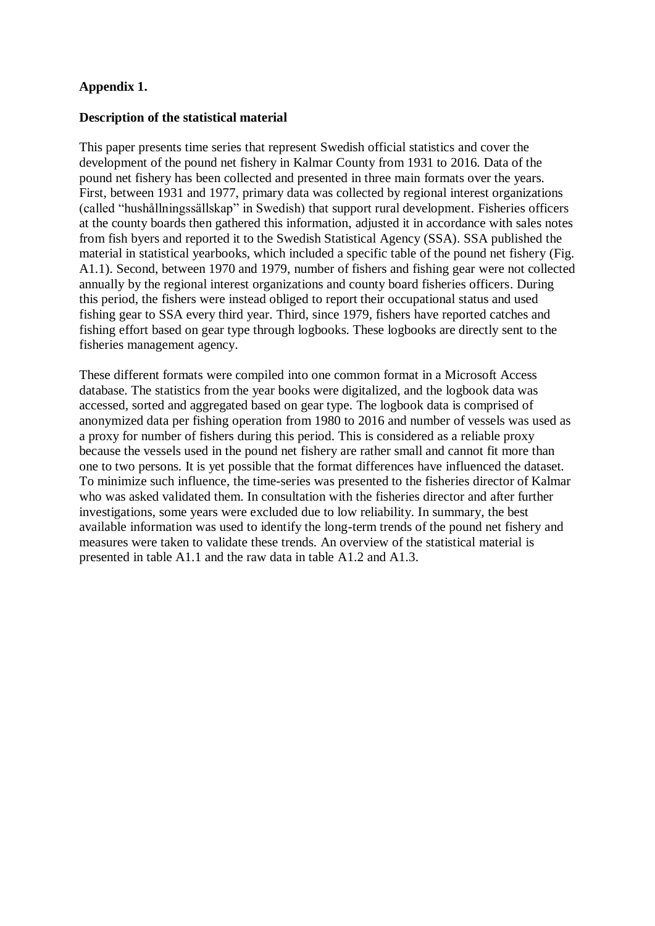## **Appendix 1.**

## **Description of the statistical material**

This paper presents time series that represent Swedish official statistics and cover the development of the pound net fishery in Kalmar County from 1931 to 2016. Data of the pound net fishery has been collected and presented in three main formats over the years. First, between 1931 and 1977, primary data was collected by regional interest organizations (called "hushållningssällskap" in Swedish) that support rural development. Fisheries officers at the county boards then gathered this information, adjusted it in accordance with sales notes from fish byers and reported it to the Swedish Statistical Agency (SSA). SSA published the material in statistical yearbooks, which included a specific table of the pound net fishery (Fig. A1.1). Second, between 1970 and 1979, number of fishers and fishing gear were not collected annually by the regional interest organizations and county board fisheries officers. During this period, the fishers were instead obliged to report their occupational status and used fishing gear to SSA every third year. Third, since 1979, fishers have reported catches and fishing effort based on gear type through logbooks. These logbooks are directly sent to the fisheries management agency.

These different formats were compiled into one common format in a Microsoft Access database. The statistics from the year books were digitalized, and the logbook data was accessed, sorted and aggregated based on gear type. The logbook data is comprised of anonymized data per fishing operation from 1980 to 2016 and number of vessels was used as a proxy for number of fishers during this period. This is considered as a reliable proxy because the vessels used in the pound net fishery are rather small and cannot fit more than one to two persons. It is yet possible that the format differences have influenced the dataset. To minimize such influence, the time-series was presented to the fisheries director of Kalmar who was asked validated them. In consultation with the fisheries director and after further investigations, some years were excluded due to low reliability. In summary, the best available information was used to identify the long-term trends of the pound net fishery and measures were taken to validate these trends. An overview of the statistical material is presented in table A1.1 and the raw data in table A1.2 and A1.3.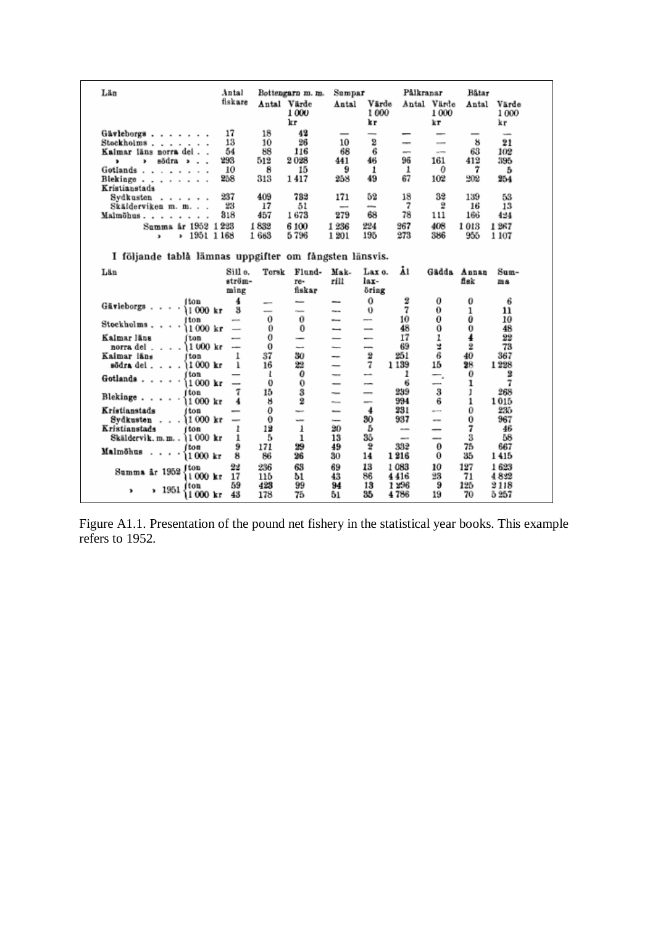| Län                                                      | Antal<br>fiskare              |            | Bottengarn m. m.<br>Antal Värde | Sumpar<br>Antal          | Värde                    | Pålkranar    | Antal Värde              | Båtar<br>Antal | Värde             |
|----------------------------------------------------------|-------------------------------|------------|---------------------------------|--------------------------|--------------------------|--------------|--------------------------|----------------|-------------------|
|                                                          |                               |            | 1000<br>kr                      |                          | 1000<br>kг               |              | 1000<br>kτ               |                | 1000<br>kг        |
| Gävleborgs                                               | 17                            | 18         | 42                              |                          |                          |              | -                        |                |                   |
| Stockholms                                               | 13                            | 10         | 26                              | 10                       | --<br>2                  | -            | $\overline{\phantom{a}}$ | 8              | $\sim$<br>$^{21}$ |
| Kalmar läns norra del.                                   | 54                            | 88         | 116                             | 68                       | 6                        | -            | $\overline{a}$           | 63             | 102               |
| södra ».<br>,<br>$\ddot{\phantom{0}}$                    | 293                           | 512        | 2028                            | 441                      | 46                       | 96           | 161                      | 412            | 395               |
| Gotlands                                                 | 10                            | 8          | 15                              | 9                        | 1                        | 1            | Ð                        | 7              | 5                 |
| Blekinge<br>$\alpha$ , $\alpha$ , $\alpha$ , $\alpha$    | 258                           | 313        | 1417                            | 258                      | 49                       | 67           | 102                      | 902            | 254               |
| Kristianstads                                            | 237                           | 409        | 733                             | 171                      | 52                       | 18           | 32                       | 139            | 53                |
| Sydkusten<br>Skälderviken m. m.                          | 23                            | 17         | 51                              |                          | --                       | 7            | 2                        | 16             | 13                |
| Malmöhus<br>×,                                           | 318                           | 457        | 1673                            | 279                      | 68                       | 78           | 111                      | 166            | 424               |
| Summa år 1952 1223                                       |                               | 1832       | 6100                            | 1236                     | 224                      | 267          | 408                      | 1013           | 1267              |
| 1951 1168<br>,<br>×.                                     |                               | 1663       | 5796                            | 1 201                    | 195                      | 273          | 386                      | 955            | 1 107             |
| I följande tablå lämnas uppgifter om fångsten länsvis.   |                               |            |                                 |                          |                          |              |                          |                |                   |
| Län                                                      | Sill o.                       | Torsk      | Flund-                          | Mak-                     | Lax o.                   | Ā١           |                          | Gädda Annan    | Sum-              |
|                                                          | ström-                        |            | re-                             | rill                     | lax-                     |              |                          | fisk           | ma                |
|                                                          | ming                          |            | fiskar                          |                          | öring                    |              |                          |                |                   |
| i ton<br>Gävleborgs                                      | 4                             | $\sim$     | $\overline{\phantom{a}}$        | --                       | $\theta$                 | 2            | 0                        | 0              | 6                 |
| $1000$ kr                                                | 3                             | -          | $r =$                           | $\sim$                   | Ü                        | 7            | 0                        | ı              | 11                |
|                                                          |                               |            |                                 |                          |                          |              |                          |                |                   |
| Iton                                                     | $\overline{\phantom{a}}$      | 0          | 0                               | --                       | $\overline{\phantom{a}}$ | 10           | 0                        | 0              | 10                |
| Stockholms<br>11 000 kr                                  | $\overline{\phantom{0}}$      | 0          | 0                               | -                        | $\overline{\phantom{a}}$ | 48           | 0                        | 0              | 48                |
| Kalmar läns<br>fton                                      | --                            | $\bf{0}$   | $\overline{\phantom{a}}$        | -                        |                          | 17           | 1                        | 4              | 22                |
| $1000$ kr<br>norra del<br>Kalmar läns<br>f ton           | $\overline{\phantom{a}}$<br>ı | 0<br>37    | -<br>30                         | -<br>--                  | --<br>2                  | 69<br>251    | ă,<br>6                  | 2<br>40        | 73<br>367         |
| södra del 11000 kr                                       | ı                             | 16         | 22                              | -                        | 7                        | 1139         | 15                       | 28             | 1228              |
| ton                                                      |                               | ı          | 0                               | -                        | -                        | ı            |                          | 0              | 2                 |
| $1000$ kr                                                |                               | 0          | 0                               |                          | $\overline{\phantom{a}}$ | 6            |                          | ı              | 7                 |
| í ton                                                    | 7                             | 15         | 3                               | -                        | $\overline{\phantom{0}}$ | 239          | 3                        | 1              | 268               |
| Gotlands<br>Blekinge<br>1000 kr                          | 4                             | ×          | 2                               | --                       |                          | 994          | 6                        | 1              | 1015              |
| Kristianstads<br>i ton                                   | $\overline{\phantom{a}}$      | 0          | <b>Service</b>                  | $\overline{\phantom{a}}$ | 4                        | 231          | $\overline{a}$           | 0              | 235               |
| $1000$ kr<br>Sydkusten<br>Kristianstads                  |                               | 0          | $\overline{\phantom{a}}$        | in an                    | 30<br>Б                  | 937<br>--    | $-1$<br>-                | $\bf{0}$       | 967<br>46         |
| i ton<br>Skäldervik.m.m., 11000 kr                       | ı<br>ı                        | 12<br>5    | ı<br>ı                          | 20<br>13                 | 35                       | $\sim$       | -                        | 7<br>3         | 58                |
| l tou                                                    | 9                             | 171        | 29                              | 49                       | 2                        | 332          | 0                        | 75             | 667               |
| Malmöhus<br>$\sim$ $\sim$<br>$\blacksquare$<br>11 000 kr | 8                             | 86         | 26                              | 30                       | 14                       | 1216         | 0                        | 35             | 1415              |
| I ton                                                    | 22                            | 236        | 63                              | 69                       | 13                       | 1083         | 10                       | 127            | 1623              |
| Summa år 1952<br>$1000 \text{ kr}$                       | 17                            | 115        | 51                              | 43                       | 86                       | 4416         | 23                       | 71             | 4822              |
| í ton<br>, 1951<br>,<br>11 000 kr                        | 59<br>43                      | 423<br>178 | 99<br>75                        | 94<br>51                 | 13<br>35                 | 1296<br>4786 | 9<br>19                  | 125<br>70      | 2118<br>5 257     |

Figure A1.1. Presentation of the pound net fishery in the statistical year books. This example refers to 1952.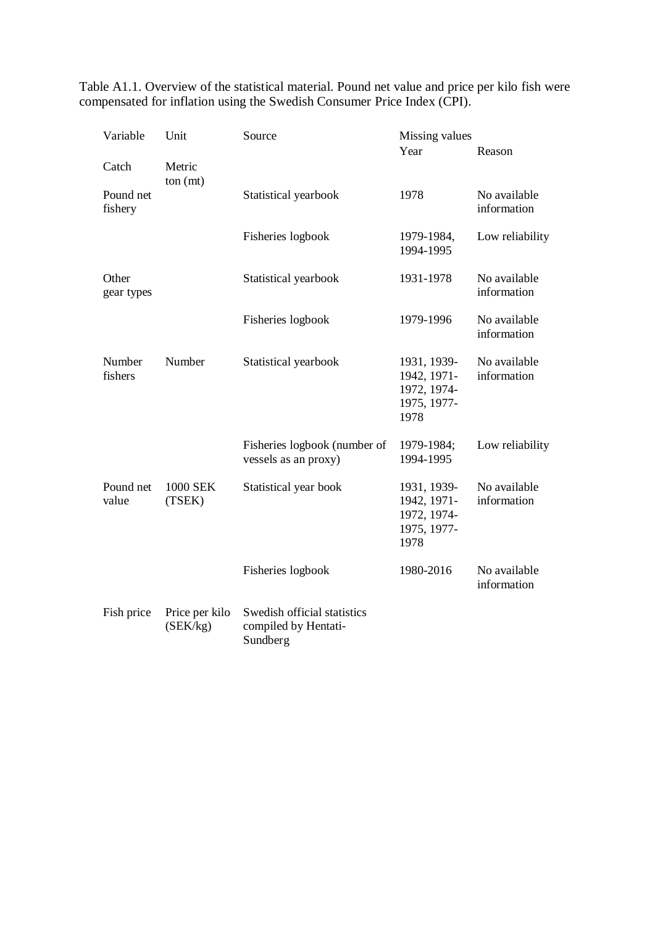Table A1.1. Overview of the statistical material. Pound net value and price per kilo fish were compensated for inflation using the Swedish Consumer Price Index (CPI).

| Variable                         | Unit                       | Source                                                          | Missing values                                                   |                             |
|----------------------------------|----------------------------|-----------------------------------------------------------------|------------------------------------------------------------------|-----------------------------|
|                                  |                            |                                                                 | Year                                                             | Reason                      |
| Catch                            | Metric                     |                                                                 |                                                                  |                             |
| ton (mt)<br>Pound net<br>fishery |                            | Statistical yearbook                                            | 1978                                                             | No available<br>information |
|                                  |                            | Fisheries logbook                                               | 1979-1984,<br>1994-1995                                          | Low reliability             |
| Other<br>gear types              |                            | Statistical yearbook                                            | 1931-1978                                                        | No available<br>information |
|                                  |                            | Fisheries logbook                                               | 1979-1996                                                        | No available<br>information |
| Number<br>fishers                | Number                     | Statistical yearbook                                            | 1931, 1939-<br>1942, 1971-<br>1972, 1974-<br>1975, 1977-<br>1978 | No available<br>information |
|                                  |                            | Fisheries logbook (number of<br>vessels as an proxy)            | 1979-1984;<br>1994-1995                                          | Low reliability             |
| Pound net<br>value               | 1000 SEK<br>(TSEK)         | Statistical year book                                           | 1931, 1939-<br>1942, 1971-<br>1972, 1974-<br>1975, 1977-<br>1978 | No available<br>information |
|                                  |                            | Fisheries logbook                                               | 1980-2016                                                        | No available<br>information |
| Fish price                       | Price per kilo<br>(SEK/kg) | Swedish official statistics<br>compiled by Hentati-<br>Sundberg |                                                                  |                             |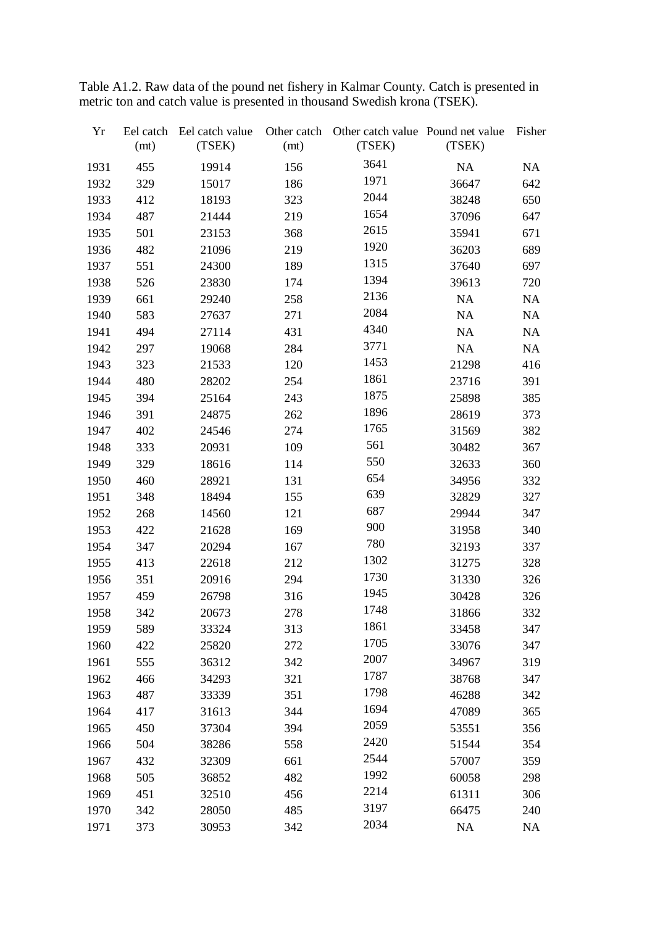| Yr   | Eel catch<br>(mt) | Eel catch value<br>(TSEK) | Other catch<br>(mt) | Other catch value Pound net value<br>(TSEK) | (TSEK) | Fisher    |
|------|-------------------|---------------------------|---------------------|---------------------------------------------|--------|-----------|
| 1931 | 455               | 19914                     | 156                 | 3641                                        | NA     | <b>NA</b> |
| 1932 | 329               | 15017                     | 186                 | 1971                                        | 36647  | 642       |
| 1933 | 412               | 18193                     | 323                 | 2044                                        | 38248  | 650       |
| 1934 | 487               | 21444                     | 219                 | 1654                                        | 37096  | 647       |
| 1935 | 501               | 23153                     | 368                 | 2615                                        | 35941  | 671       |
| 1936 | 482               | 21096                     | 219                 | 1920                                        | 36203  | 689       |
| 1937 | 551               | 24300                     | 189                 | 1315                                        | 37640  | 697       |
| 1938 | 526               | 23830                     | 174                 | 1394                                        | 39613  | 720       |
| 1939 | 661               | 29240                     | 258                 | 2136                                        | NA     | <b>NA</b> |
| 1940 | 583               | 27637                     | 271                 | 2084                                        | NA     | NA        |
| 1941 | 494               | 27114                     | 431                 | 4340                                        | NA     | <b>NA</b> |
| 1942 | 297               | 19068                     | 284                 | 3771                                        | NA     | NA        |
| 1943 | 323               | 21533                     | 120                 | 1453                                        | 21298  | 416       |
| 1944 | 480               | 28202                     | 254                 | 1861                                        | 23716  | 391       |
| 1945 | 394               | 25164                     | 243                 | 1875                                        | 25898  | 385       |
| 1946 | 391               | 24875                     | 262                 | 1896                                        | 28619  | 373       |
| 1947 | 402               | 24546                     | 274                 | 1765                                        | 31569  | 382       |
| 1948 | 333               | 20931                     | 109                 | 561                                         | 30482  | 367       |
| 1949 | 329               | 18616                     | 114                 | 550                                         | 32633  | 360       |
| 1950 | 460               | 28921                     | 131                 | 654                                         | 34956  | 332       |
| 1951 | 348               | 18494                     | 155                 | 639                                         | 32829  | 327       |
| 1952 | 268               | 14560                     | 121                 | 687                                         | 29944  | 347       |
| 1953 | 422               | 21628                     | 169                 | 900                                         | 31958  | 340       |
| 1954 | 347               | 20294                     | 167                 | 780                                         | 32193  | 337       |
| 1955 | 413               | 22618                     | 212                 | 1302                                        | 31275  | 328       |
| 1956 | 351               | 20916                     | 294                 | 1730                                        | 31330  | 326       |
| 1957 | 459               | 26798                     | 316                 | 1945                                        | 30428  | 326       |
| 1958 | 342               | 20673                     | 278                 | 1748                                        | 31866  | 332       |
| 1959 | 589               | 33324                     | 313                 | 1861                                        | 33458  | 347       |
| 1960 | 422               | 25820                     | 272                 | 1705                                        | 33076  | 347       |
| 1961 | 555               | 36312                     | 342                 | 2007                                        | 34967  | 319       |
| 1962 | 466               | 34293                     | 321                 | 1787                                        | 38768  | 347       |
| 1963 | 487               | 33339                     | 351                 | 1798                                        | 46288  | 342       |
| 1964 | 417               | 31613                     | 344                 | 1694                                        | 47089  | 365       |
| 1965 | 450               | 37304                     | 394                 | 2059                                        | 53551  | 356       |
| 1966 | 504               | 38286                     | 558                 | 2420                                        | 51544  | 354       |
| 1967 | 432               | 32309                     | 661                 | 2544                                        | 57007  | 359       |
| 1968 | 505               | 36852                     | 482                 | 1992                                        | 60058  | 298       |
| 1969 | 451               | 32510                     | 456                 | 2214                                        | 61311  | 306       |
| 1970 | 342               | 28050                     | 485                 | 3197                                        | 66475  | 240       |
| 1971 | 373               | 30953                     | 342                 | 2034                                        | NA     | NA        |

Table A1.2. Raw data of the pound net fishery in Kalmar County. Catch is presented in metric ton and catch value is presented in thousand Swedish krona (TSEK).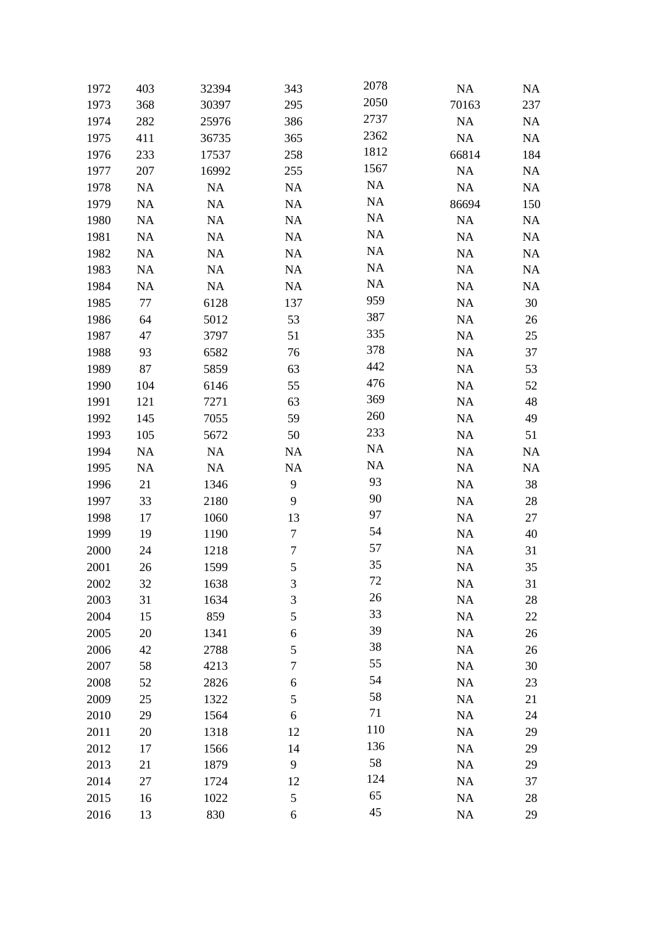| 1972 | 403       | 32394     | 343            | 2078      | <b>NA</b> | NA        |
|------|-----------|-----------|----------------|-----------|-----------|-----------|
| 1973 | 368       | 30397     | 295            | 2050      | 70163     | 237       |
| 1974 | 282       | 25976     | 386            | 2737      | NA        | NA        |
| 1975 | 411       | 36735     | 365            | 2362      | NA        | NA        |
| 1976 | 233       | 17537     | 258            | 1812      | 66814     | 184       |
| 1977 | 207       | 16992     | 255            | 1567      | NA        | NA        |
| 1978 | <b>NA</b> | NA        | NA             | <b>NA</b> | NA        | NA        |
| 1979 | <b>NA</b> | NA        | NA             | <b>NA</b> | 86694     | 150       |
| 1980 | <b>NA</b> | NA        | <b>NA</b>      | <b>NA</b> | NA        | NA        |
| 1981 | <b>NA</b> | <b>NA</b> | <b>NA</b>      | <b>NA</b> | $\rm NA$  | <b>NA</b> |
| 1982 | <b>NA</b> | <b>NA</b> | NA             | <b>NA</b> | NA        | NA        |
| 1983 | <b>NA</b> | NA        | NA             | <b>NA</b> | NA        | NA        |
| 1984 | <b>NA</b> | NA        | <b>NA</b>      | NA        | <b>NA</b> | NA        |
| 1985 | 77        | 6128      | 137            | 959       | $\rm NA$  | 30        |
| 1986 | 64        | 5012      | 53             | 387       | NA        | 26        |
| 1987 | 47        | 3797      | 51             | 335       | NA        | 25        |
| 1988 | 93        | 6582      | 76             | 378       | <b>NA</b> | 37        |
| 1989 | 87        | 5859      | 63             | 442       | $\rm NA$  | 53        |
| 1990 | 104       | 6146      | 55             | 476       | NA        | 52        |
| 1991 | 121       | 7271      | 63             | 369       | NA        | 48        |
| 1992 | 145       | 7055      | 59             | 260       | <b>NA</b> | 49        |
| 1993 | 105       | 5672      | 50             | 233       | NA        | 51        |
| 1994 | <b>NA</b> | <b>NA</b> | <b>NA</b>      | <b>NA</b> | NA        | NA        |
| 1995 | <b>NA</b> | NA        | NA             | <b>NA</b> | NA        | NA        |
| 1996 | 21        | 1346      | 9              | 93        | <b>NA</b> | 38        |
| 1997 | 33        | 2180      | 9              | 90        | $\rm NA$  | 28        |
| 1998 | 17        | 1060      | 13             | 97        | NA        | 27        |
| 1999 | 19        | 1190      | 7              | 54        | $\rm NA$  | 40        |
| 2000 | 24        | 1218      | $\tau$         | 57        | NA        | 31        |
| 2001 | 26        | 1599      | 5              | 35        | <b>NA</b> | 35        |
| 2002 | 32        | 1638      | $\mathfrak{Z}$ | 72        | NA        | 31        |
| 2003 | 31        | 1634      | 3              | 26        | $\rm NA$  | 28        |
| 2004 | 15        | 859       | 5              | 33        | NA        | 22        |
| 2005 | 20        | 1341      | 6              | 39        | NA        | 26        |
| 2006 | 42        | 2788      | 5              | 38        | NA        | 26        |
| 2007 | 58        | 4213      | $\sqrt{ }$     | 55        | $\rm NA$  | 30        |
| 2008 | 52        | 2826      | 6              | 54        | NA        | 23        |
| 2009 | 25        | 1322      | 5              | 58        | NA        | 21        |
| 2010 | 29        | 1564      | $\sqrt{6}$     | 71        | NA        | 24        |
| 2011 | 20        | 1318      | 12             | 110       | NA        | 29        |
| 2012 | 17        | 1566      | 14             | 136       | NA        | 29        |
| 2013 | 21        | 1879      | 9              | 58        | NA        | 29        |
| 2014 | 27        | 1724      | 12             | 124       | NA        | 37        |
| 2015 | 16        | 1022      | 5              | 65        | NA        | 28        |
| 2016 | 13        | 830       | 6              | 45        | NA        | 29        |